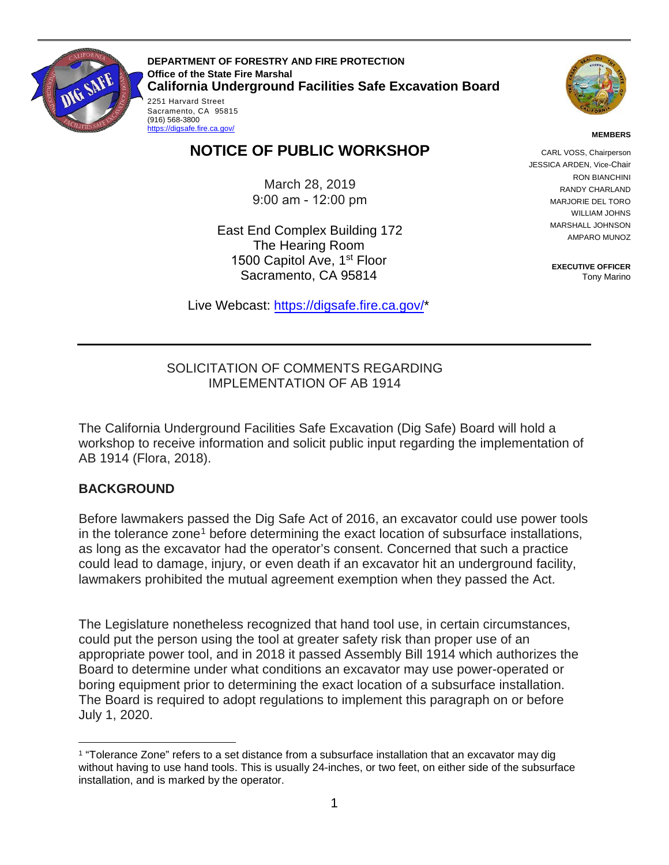

Sacramento, CA 95815<br>(916) 568-3800 **DEPARTMENT OF FORESTRY AND FIRE PROTECTION Office of the State Fire Marshal California Underground Facilities Safe Excavation Board**  2251 Harvard Street (916) 568-3800<br><u>https://digsafe.fire.ca.gov/</u>



#### **MEMBERS**

# **NOTICE OF PUBLIC WORKSHOP**

March 28, 2019 9:00 am - 12:00 pm

 The Hearing Room 1500 Capitol Ave, 1<sup>st</sup> Floor East End Complex Building 172 Sacramento, CA 95814

Live Webcast: [https://digsafe.fire.ca.gov/](https://global.gotomeeting.com/join/883967957)\*

CARL VOSS, Chairperson JESSICA ARDEN, Vice-Chair RON BIANCHINI RANDY CHARLAND MARJORIE DEL TORO WILLIAM JOHNS MARSHALL JOHNSON AMPARO MUNOZ

> **EXECUTIVE OFFICER**  Tony Marino

#### SOLICITATION OF COMMENTS REGARDING IMPLEMENTATION OF AB 1914

The California Underground Facilities Safe Excavation (Dig Safe) Board will hold a workshop to receive information and solicit public input regarding the implementation of AB 1914 (Flora, 2018).

### **BACKGROUND**

 as long as the excavator had the operator's consent. Concerned that such a practice Before lawmakers passed the Dig Safe Act of 2016, an excavator could use power tools in the tolerance zone<sup>[1](#page-0-0)</sup> before determining the exact location of subsurface installations, could lead to damage, injury, or even death if an excavator hit an underground facility, lawmakers prohibited the mutual agreement exemption when they passed the Act.

 appropriate power tool, and in 2018 it passed Assembly Bill 1914 which authorizes the Board to determine under what conditions an excavator may use power-operated or boring equipment prior to determining the exact location of a subsurface installation. The Legislature nonetheless recognized that hand tool use, in certain circumstances, could put the person using the tool at greater safety risk than proper use of an The Board is required to adopt regulations to implement this paragraph on or before July 1, 2020.

<span id="page-0-0"></span> $\overline{a}$ 1 "Tolerance Zone" refers to a set distance from a subsurface installation that an excavator may dig without having to use hand tools. This is usually 24-inches, or two feet, on either side of the subsurface installation, and is marked by the operator.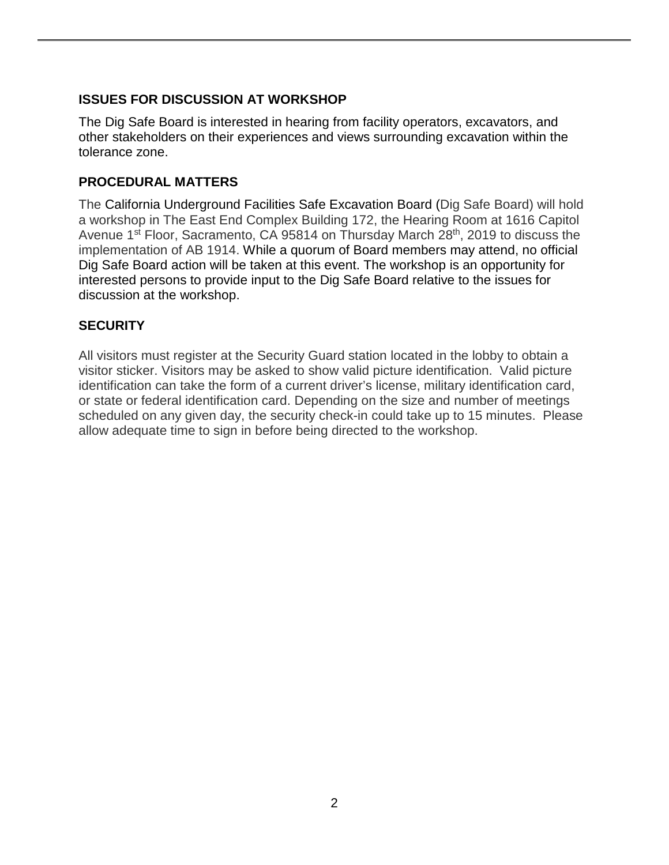## **ISSUES FOR DISCUSSION AT WORKSHOP**

The Dig Safe Board is interested in hearing from facility operators, excavators, and other stakeholders on their experiences and views surrounding excavation within the tolerance zone.

## **PROCEDURAL MATTERS**

 implementation of AB 1914. While a quorum of Board members may attend, no official interested persons to provide input to the Dig Safe Board relative to the issues for discussion at the workshop. The California Underground Facilities Safe Excavation Board (Dig Safe Board) will hold a workshop in The East End Complex Building 172, the Hearing Room at 1616 Capitol Avenue 1<sup>st</sup> Floor, Sacramento, CA 95814 on Thursday March 28<sup>th</sup>, 2019 to discuss the Dig Safe Board action will be taken at this event. The workshop is an opportunity for

## **SECURITY**

 visitor sticker. Visitors may be asked to show valid picture identification. Valid picture or state or federal identification card. Depending on the size and number of meetings All visitors must register at the Security Guard station located in the lobby to obtain a identification can take the form of a current driver's license, military identification card, scheduled on any given day, the security check-in could take up to 15 minutes. Please allow adequate time to sign in before being directed to the workshop.